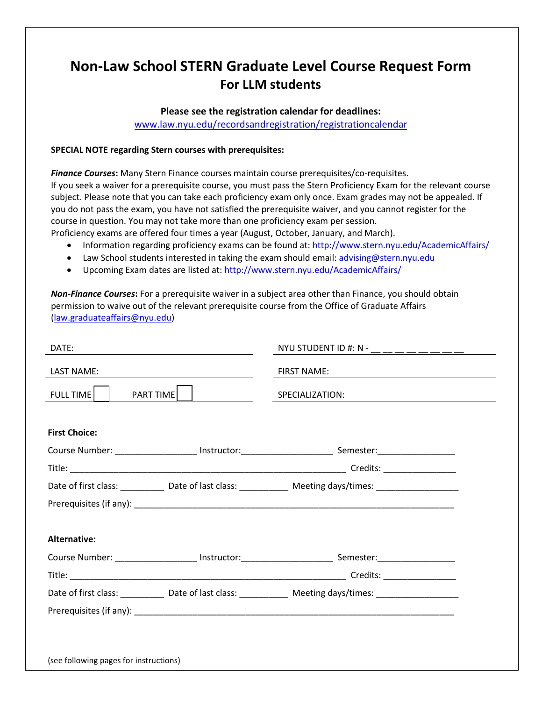# **Non-Law School STERN Graduate Level Course Request Form For LLM students**

### **Please see the registration calendar for deadlines:**

[www.law.nyu.edu/recordsandregistration/registrationcalendar](http://www.law.nyu.edu/recordsandregistration/registrationcalendar)

### **SPECIAL NOTE regarding Stern courses with prerequisites:**

*Finance Courses***:** Many Stern Finance courses maintain course prerequisites/co-requisites. If you seek a waiver for a prerequisite course, you must pass the Stern Proficiency Exam for the relevant course subject. Please note that you can take each proficiency exam only once. Exam grades may not be appealed. If you do not pass the exam, you have not satisfied the prerequisite waiver, and you cannot register for the course in question. You may not take more than one proficiency exam per session. Proficiency exams are offered four times a year (August, October, January, and March).

- Information regarding proficiency exams can be found at: http://www.stern.nyu.edu/AcademicAffairs/
- Law School students interested in taking the exam should email: advising@stern.nyu.edu
- Upcoming Exam dates are listed at: http://www.stern.nyu.edu/AcademicAffairs/

*Non-Finance Courses***:** For a prerequisite waiver in a subject area other than Finance, you should obtain permission to waive out of the relevant prerequisite course from the Office of Graduate Affairs [\(law.graduateaffairs@nyu.edu\)](mailto:law.graduateaffairs@nyu.edu)

| DATE:<br><u> 1989 - Johann Barn, amerikansk politiker (d. 1989)</u> |                   | NYU STUDENT ID #: N - _____________                                                                            |
|---------------------------------------------------------------------|-------------------|----------------------------------------------------------------------------------------------------------------|
| <b>LAST NAME:</b>                                                   |                   | FIRST NAME:                                                                                                    |
| FULL TIME                                                           | PART TIME   _____ | SPECIALIZATION:                                                                                                |
|                                                                     |                   |                                                                                                                |
| <b>First Choice:</b>                                                |                   |                                                                                                                |
|                                                                     |                   |                                                                                                                |
|                                                                     |                   |                                                                                                                |
|                                                                     |                   | Date of first class: ______________ Date of last class: ________________ Meeting days/times: _________________ |
|                                                                     |                   |                                                                                                                |
|                                                                     |                   |                                                                                                                |
| Alternative:                                                        |                   |                                                                                                                |
|                                                                     |                   |                                                                                                                |
|                                                                     |                   |                                                                                                                |
|                                                                     |                   | Date of first class: _____________ Date of last class: ______________ Meeting days/times: ____________________ |
|                                                                     |                   |                                                                                                                |
|                                                                     |                   |                                                                                                                |
|                                                                     |                   |                                                                                                                |
| (see following pages for instructions)                              |                   |                                                                                                                |